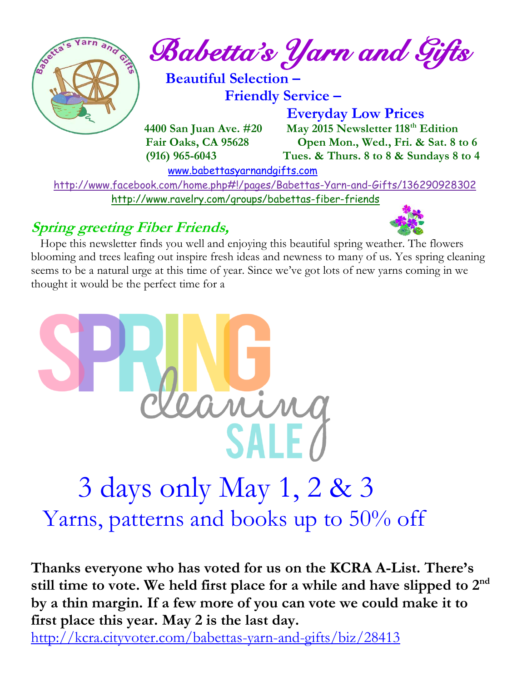

 <http://www.facebook.com/home.php#!/pages/Babettas-Yarn-and-Gifts/136290928302> <http://www.ravelry.com/groups/babettas-fiber-friends>

#### **Spring greeting Fiber Friends,**

 Hope this newsletter finds you well and enjoying this beautiful spring weather. The flowers blooming and trees leafing out inspire fresh ideas and newness to many of us. Yes spring cleaning seems to be a natural urge at this time of year. Since we've got lots of new yarns coming in we thought it would be the perfect time for a



# 3 days only May 1, 2 & 3 Yarns, patterns and books up to 50% off

**Thanks everyone who has voted for us on the KCRA A-List. There's still time to vote. We held first place for a while and have slipped to 2nd by a thin margin. If a few more of you can vote we could make it to first place this year. May 2 is the last day.**

<http://kcra.cityvoter.com/babettas-yarn-and-gifts/biz/28413>

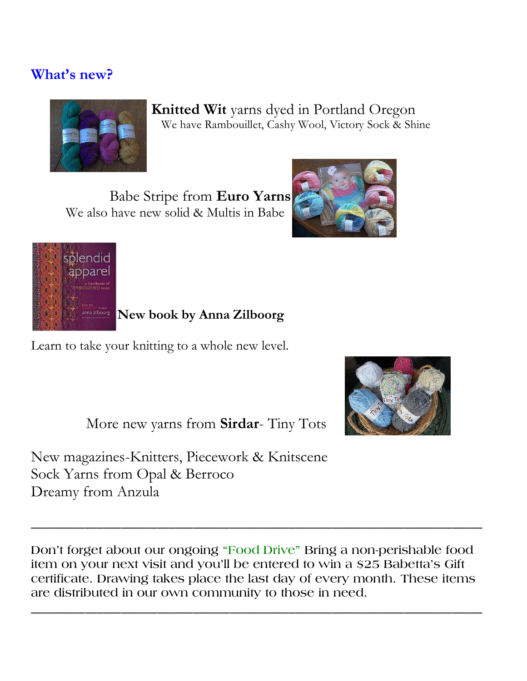#### **What's new?**



 **Knitted Wit** yarns dyed in Portland Oregon We have Rambouillet, Cashy Wool, Victory Sock & Shine

Babe Stripe from **Euro Yarns**  We also have new solid & Multis in Babe





 **New book by Anna Zilboorg**

Learn to take your knitting to a whole new level.



More new yarns from **Sirdar**- Tiny Tots

New magazines-Knitters, Piecework & Knitscene Sock Yarns from Opal & Berroco Dreamy from Anzula

**Don't forget about our ongoing "Food Drive" Bring a non-perishable food item on your next visit and you'll be entered to win a \$25 Babetta's Gift certificate. Drawing takes place the last day of every month. These items are distributed in our own community to those in need.**

**\_\_\_\_\_\_\_\_\_\_\_\_\_\_\_\_\_\_\_\_\_\_\_\_\_\_\_\_\_\_\_\_\_\_\_\_\_\_\_\_\_\_\_\_\_\_\_\_\_\_\_\_\_\_\_\_\_\_\_\_\_\_\_\_\_\_\_\_\_\_\_\_\_\_\_**

**\_\_\_\_\_\_\_\_\_\_\_\_\_\_\_\_\_\_\_\_\_\_\_\_\_\_\_\_\_\_\_\_\_\_\_\_\_\_\_\_\_\_\_\_\_\_\_\_\_\_\_\_\_\_\_\_\_\_\_\_\_\_\_\_\_\_\_\_\_\_\_\_\_\_\_**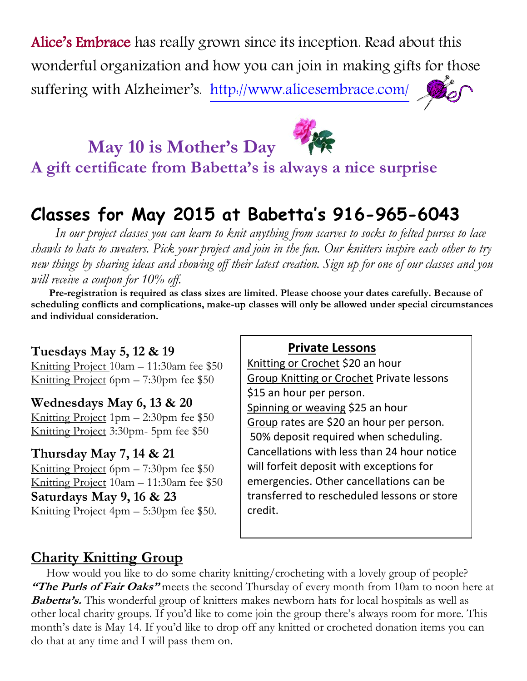Alice's Embrace has really grown since its inception. Read about this wonderful organization and how you can join in making gifts for those suffering with Alzheimer's. <http://www.alicesembrace.com/>

 **May 10 is Mother's Day** 



**A gift certificate from Babetta's is always a nice surprise** 

## **Classes for May 2015 at Babetta's 916-965-6043**

 *In our project classes you can learn to knit anything from scarves to socks to felted purses to lace shawls to hats to sweaters. Pick your project and join in the fun. Our knitters inspire each other to try new things by sharing ideas and showing off their latest creation. Sign up for one of our classes and you will receive a coupon for 10% off.*

 **Pre-registration is required as class sizes are limited. Please choose your dates carefully. Because of scheduling conflicts and complications, make-up classes will only be allowed under special circumstances and individual consideration.**

**Tuesdays May 5, 12 & 19** Knitting Project 10am – 11:30am fee \$50 Knitting Project 6pm – 7:30pm fee \$50

**Wednesdays May 6, 13 & 20** Knitting Project 1pm – 2:30pm fee \$50 Knitting Project 3:30pm- 5pm fee \$50

#### **Thursday May 7, 14 & 21**

Knitting Project 6pm – 7:30pm fee \$50 Knitting Project 10am – 11:30am fee \$50 **Saturdays May 9, 16 & 23** Knitting Project 4pm – 5:30pm fee \$50.

#### **Private Lessons**

Knitting or Crochet \$20 an hour Group Knitting or Crochet Private lessons \$15 an hour per person. Spinning or weaving \$25 an hour Group rates are \$20 an hour per person. 50% deposit required when scheduling. Cancellations with less than 24 hour notice will forfeit deposit with exceptions for emergencies. Other cancellations can be transferred to rescheduled lessons or store credit.

#### **Charity Knitting Group**

 How would you like to do some charity knitting/crocheting with a lovely group of people? **"The Purls of Fair Oaks"** meets the second Thursday of every month from 10am to noon here at **Babetta's.** This wonderful group of knitters makes newborn hats for local hospitals as well as other local charity groups. If you'd like to come join the group there's always room for more. This month's date is May 14. If you'd like to drop off any knitted or crocheted donation items you can do that at any time and I will pass them on.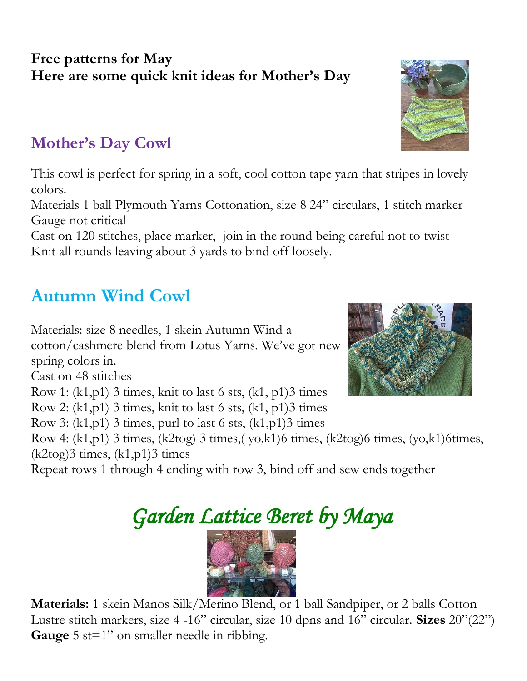#### **Free patterns for May Here are some quick knit ideas for Mother's Day**

### **Mother's Day Cowl**

This cowl is perfect for spring in a soft, cool cotton tape yarn that stripes in lovely colors.

Materials 1 ball Plymouth Yarns Cottonation, size 8 24" circulars, 1 stitch marker Gauge not critical

Cast on 120 stitches, place marker, join in the round being careful not to twist Knit all rounds leaving about 3 yards to bind off loosely.

## **Autumn Wind Cowl**

Materials: size 8 needles, 1 skein Autumn Wind a

cotton/cashmere blend from Lotus Yarns. We've got new spring colors in.

Cast on 48 stitches

Row 1:  $(k1,p1)$  3 times, knit to last 6 sts,  $(k1, p1)$ 3 times

Row 2:  $(k1,p1)$  3 times, knit to last 6 sts,  $(k1, p1)$ 3 times

Row 3:  $(k1,p1)$  3 times, purl to last 6 sts,  $(k1,p1)$ 3 times

Row 4: (k1,p1) 3 times, (k2tog) 3 times,( yo,k1)6 times, (k2tog)6 times, (yo,k1)6times,  $(k2tog)3$  times,  $(k1,p1)3$  times

Repeat rows 1 through 4 ending with row 3, bind off and sew ends together

## *Garden Lattice Beret by Maya*



 **Materials:** 1 skein Manos Silk/Merino Blend, or 1 ball Sandpiper, or 2 balls Cotton Lustre stitch markers, size 4 -16" circular, size 10 dpns and 16" circular. **Sizes** 20"(22") **Gauge** 5 st=1" on smaller needle in ribbing.